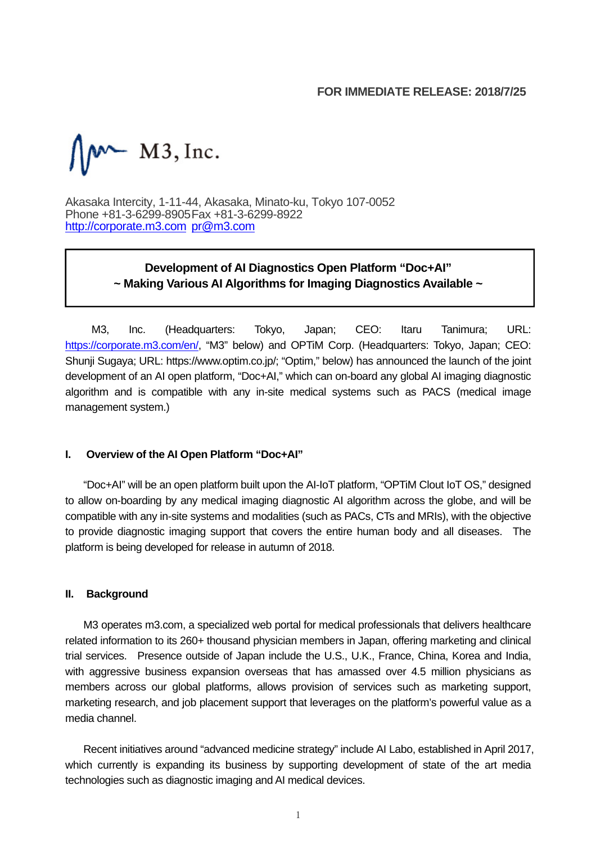### **FOR IMMEDIATE RELEASE: 2018/7/25**

 $M^{\sim}$  M3, Inc.

Akasaka Intercity, 1-11-44, Akasaka, Minato-ku, Tokyo 107-0052 Phone +81-3-6299-8905 Fax +81-3-6299-8922 http://corporate.m3.com pr@m3.com

# **Development of AI Diagnostics Open Platform "Doc+AI" ~ Making Various AI Algorithms for Imaging Diagnostics Available ~**

M3, Inc. (Headquarters: Tokyo, Japan; CEO: Itaru Tanimura; URL: https://corporate.m3.com/en/, "M3" below) and OPTiM Corp. (Headquarters: Tokyo, Japan; CEO: Shunji Sugaya; URL: https://www.optim.co.jp/; "Optim," below) has announced the launch of the joint development of an AI open platform, "Doc+AI," which can on-board any global AI imaging diagnostic algorithm and is compatible with any in-site medical systems such as PACS (medical image management system.)

### **I. Overview of the AI Open Platform "Doc+AI"**

"Doc+AI" will be an open platform built upon the AI-IoT platform, "OPTiM Clout IoT OS," designed to allow on-boarding by any medical imaging diagnostic AI algorithm across the globe, and will be compatible with any in-site systems and modalities (such as PACs, CTs and MRIs), with the objective to provide diagnostic imaging support that covers the entire human body and all diseases. The platform is being developed for release in autumn of 2018.

### **II. Background**

M3 operates m3.com, a specialized web portal for medical professionals that delivers healthcare related information to its 260+ thousand physician members in Japan, offering marketing and clinical trial services. Presence outside of Japan include the U.S., U.K., France, China, Korea and India, with aggressive business expansion overseas that has amassed over 4.5 million physicians as members across our global platforms, allows provision of services such as marketing support, marketing research, and job placement support that leverages on the platform's powerful value as a media channel.

Recent initiatives around "advanced medicine strategy" include AI Labo, established in April 2017, which currently is expanding its business by supporting development of state of the art media technologies such as diagnostic imaging and AI medical devices.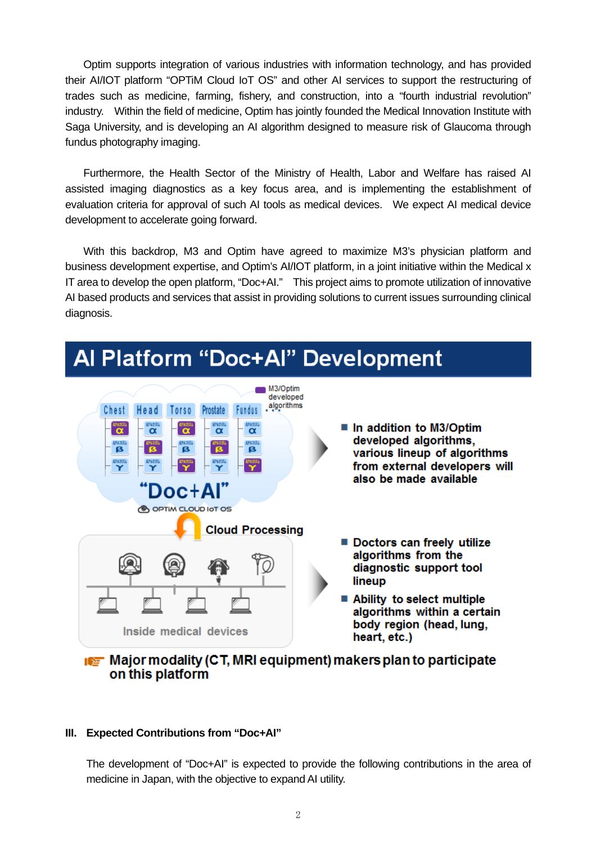Optim supports integration of various industries with information technology, and has provided their AI/IOT platform "OPTiM Cloud IoT OS" and other AI services to support the restructuring of trades such as medicine, farming, fishery, and construction, into a "fourth industrial revolution" industry. Within the field of medicine, Optim has jointly founded the Medical Innovation Institute with Saga University, and is developing an AI algorithm designed to measure risk of Glaucoma through fundus photography imaging.

Furthermore, the Health Sector of the Ministry of Health, Labor and Welfare has raised AI assisted imaging diagnostics as a key focus area, and is implementing the establishment of evaluation criteria for approval of such AI tools as medical devices. We expect AI medical device development to accelerate going forward.

With this backdrop, M3 and Optim have agreed to maximize M3's physician platform and business development expertise, and Optim's AI/IOT platform, in a joint initiative within the Medical x IT area to develop the open platform, "Doc+AI." This project aims to promote utilization of innovative AI based products and services that assist in providing solutions to current issues surrounding clinical diagnosis.

# Al Platform "Doc+Al" Development



# Major modality (CT, MRI equipment) makers plan to participate on this platform

### **III. Expected Contributions from "Doc+AI"**

The development of "Doc+AI" is expected to provide the following contributions in the area of medicine in Japan, with the objective to expand AI utility.